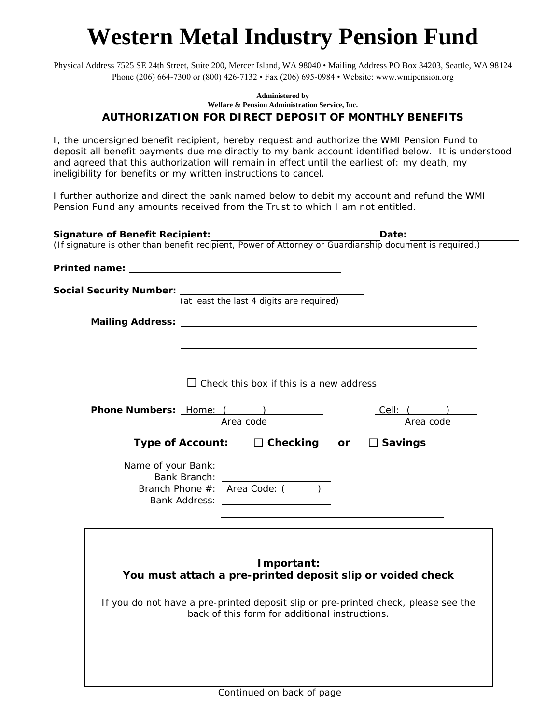## **Western Metal Industry Pension Fund**

Physical Address 7525 SE 24th Street, Suite 200, Mercer Island, WA 98040 • Mailing Address PO Box 34203, Seattle, WA 98124 Phone (206) 664-7300 or (800) 426-7132 • Fax (206) 695-0984 • Website: www.wmipension.org

## **Administered by Welfare & Pension Administration Service, Inc. AUTHORIZATION FOR DIRECT DEPOSIT OF MONTHLY BENEFITS**

I, the undersigned benefit recipient, hereby request and authorize the WMI Pension Fund to deposit all benefit payments due me directly to my bank account identified below. It is understood and agreed that this authorization will remain in effect until the earliest of: my death, my ineligibility for benefits or my written instructions to cancel.

I further authorize and direct the bank named below to debit my account and refund the WMI Pension Fund any amounts received from the Trust to which I am not entitled.

| <b>Signature of Benefit Recipient:</b>                                                                                               | Date:                        |
|--------------------------------------------------------------------------------------------------------------------------------------|------------------------------|
| (If signature is other than benefit recipient, Power of Attorney or Guardianship document is required.)                              |                              |
|                                                                                                                                      |                              |
| <b>Social Security Number:</b> $\frac{1}{(at least the last 4 digits are required)}$                                                 |                              |
|                                                                                                                                      |                              |
|                                                                                                                                      |                              |
|                                                                                                                                      |                              |
|                                                                                                                                      |                              |
| $\Box$ Check this box if this is a new address                                                                                       |                              |
|                                                                                                                                      |                              |
| Phone Numbers: Home: (1997)<br>Area code                                                                                             | <u>Cell: ()</u><br>Area code |
| Type of Account: $\square$ Checking or $\square$ Savings                                                                             |                              |
|                                                                                                                                      |                              |
| Bank Branch: _____________________                                                                                                   |                              |
| Branch Phone #: <u>Area Code: (</u> )                                                                                                |                              |
|                                                                                                                                      |                              |
|                                                                                                                                      |                              |
|                                                                                                                                      |                              |
| Important:                                                                                                                           |                              |
| You must attach a pre-printed deposit slip or voided check                                                                           |                              |
|                                                                                                                                      |                              |
| If you do not have a pre-printed deposit slip or pre-printed check, please see the<br>back of this form for additional instructions. |                              |
|                                                                                                                                      |                              |
|                                                                                                                                      |                              |
|                                                                                                                                      |                              |
|                                                                                                                                      |                              |